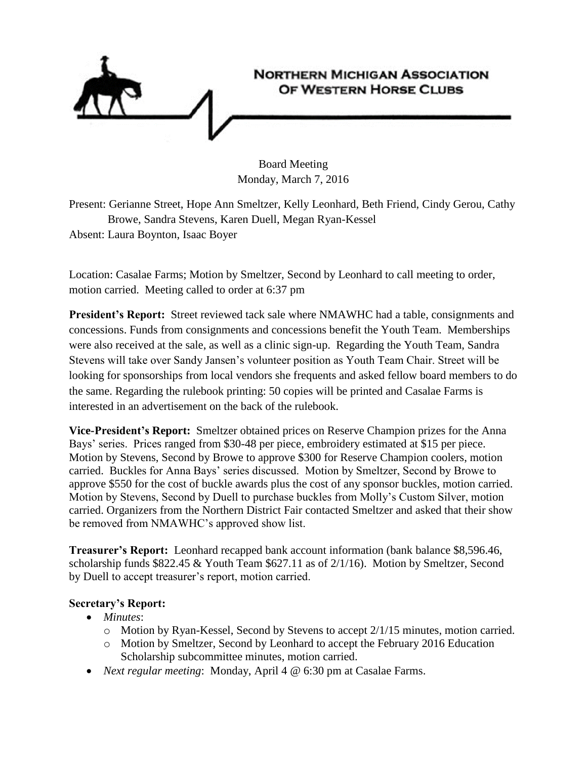

Board Meeting Monday, March 7, 2016

Present: Gerianne Street, Hope Ann Smeltzer, Kelly Leonhard, Beth Friend, Cindy Gerou, Cathy Browe, Sandra Stevens, Karen Duell, Megan Ryan-Kessel Absent: Laura Boynton, Isaac Boyer

Location: Casalae Farms; Motion by Smeltzer, Second by Leonhard to call meeting to order, motion carried. Meeting called to order at 6:37 pm

**President's Report:** Street reviewed tack sale where NMAWHC had a table, consignments and concessions. Funds from consignments and concessions benefit the Youth Team. Memberships were also received at the sale, as well as a clinic sign-up. Regarding the Youth Team, Sandra Stevens will take over Sandy Jansen's volunteer position as Youth Team Chair. Street will be looking for sponsorships from local vendors she frequents and asked fellow board members to do the same. Regarding the rulebook printing: 50 copies will be printed and Casalae Farms is interested in an advertisement on the back of the rulebook.

**Vice-President's Report:** Smeltzer obtained prices on Reserve Champion prizes for the Anna Bays' series. Prices ranged from \$30-48 per piece, embroidery estimated at \$15 per piece. Motion by Stevens, Second by Browe to approve \$300 for Reserve Champion coolers, motion carried. Buckles for Anna Bays' series discussed. Motion by Smeltzer, Second by Browe to approve \$550 for the cost of buckle awards plus the cost of any sponsor buckles, motion carried. Motion by Stevens, Second by Duell to purchase buckles from Molly's Custom Silver, motion carried. Organizers from the Northern District Fair contacted Smeltzer and asked that their show be removed from NMAWHC's approved show list.

**Treasurer's Report:** Leonhard recapped bank account information (bank balance \$8,596.46, scholarship funds \$822.45 & Youth Team \$627.11 as of 2/1/16). Motion by Smeltzer, Second by Duell to accept treasurer's report, motion carried.

## **Secretary's Report:**

- *Minutes*:
	- o Motion by Ryan-Kessel, Second by Stevens to accept 2/1/15 minutes, motion carried.
	- o Motion by Smeltzer, Second by Leonhard to accept the February 2016 Education Scholarship subcommittee minutes, motion carried.
- *Next regular meeting*: Monday, April 4 @ 6:30 pm at Casalae Farms.